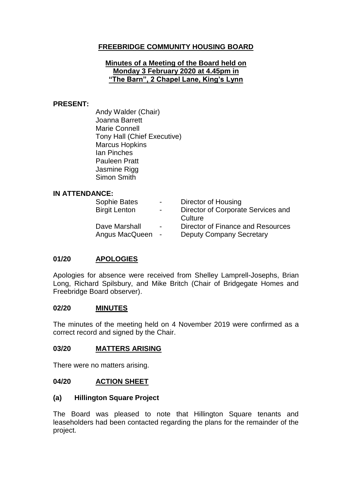# **FREEBRIDGE COMMUNITY HOUSING BOARD**

## **Minutes of a Meeting of the Board held on Monday 3 February 2020 at 4.45pm in "The Barn", 2 Chapel Lane, King's Lynn**

### **PRESENT:**

Andy Walder (Chair) Joanna Barrett Marie Connell Tony Hall (Chief Executive) Marcus Hopkins Ian Pinches Pauleen Pratt Jasmine Rigg Simon Smith

### **IN ATTENDANCE:**

| Sophie Bates         | $\sim$         | Director of Housing                |
|----------------------|----------------|------------------------------------|
| <b>Birgit Lenton</b> | $\sim$         | Director of Corporate Services and |
|                      |                | Culture                            |
| Dave Marshall        | $\blacksquare$ | Director of Finance and Resources  |
| Angus MacQueen       | $\sim$         | <b>Deputy Company Secretary</b>    |

## **01/20 APOLOGIES**

Apologies for absence were received from Shelley Lamprell-Josephs, Brian Long, Richard Spilsbury, and Mike Britch (Chair of Bridgegate Homes and Freebridge Board observer).

### **02/20 MINUTES**

The minutes of the meeting held on 4 November 2019 were confirmed as a correct record and signed by the Chair.

#### **03/20 MATTERS ARISING**

There were no matters arising.

#### **04/20 ACTION SHEET**

#### **(a) Hillington Square Project**

The Board was pleased to note that Hillington Square tenants and leaseholders had been contacted regarding the plans for the remainder of the project.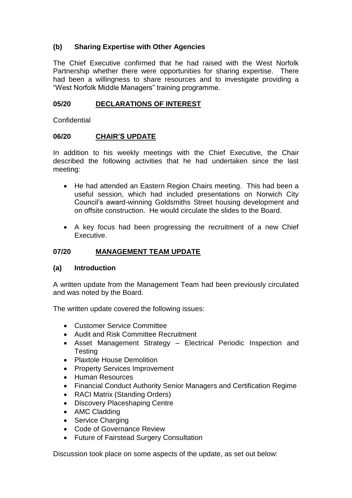# **(b) Sharing Expertise with Other Agencies**

The Chief Executive confirmed that he had raised with the West Norfolk Partnership whether there were opportunities for sharing expertise. There had been a willingness to share resources and to investigate providing a "West Norfolk Middle Managers" training programme.

## **05/20 DECLARATIONS OF INTEREST**

**Confidential** 

## **06/20 CHAIR'S UPDATE**

In addition to his weekly meetings with the Chief Executive, the Chair described the following activities that he had undertaken since the last meeting:

- He had attended an Eastern Region Chairs meeting. This had been a useful session, which had included presentations on Norwich City Council's award-winning Goldsmiths Street housing development and on offsite construction. He would circulate the slides to the Board.
- A key focus had been progressing the recruitment of a new Chief Executive.

# **07/20 MANAGEMENT TEAM UPDATE**

## **(a) Introduction**

A written update from the Management Team had been previously circulated and was noted by the Board.

The written update covered the following issues:

- Customer Service Committee
- Audit and Risk Committee Recruitment
- Asset Management Strategy Electrical Periodic Inspection and Testing
- Plaxtole House Demolition
- Property Services Improvement
- Human Resources
- Financial Conduct Authority Senior Managers and Certification Regime
- RACI Matrix (Standing Orders)
- Discovery Placeshaping Centre
- AMC Cladding
- Service Charging
- Code of Governance Review
- Future of Fairstead Surgery Consultation

Discussion took place on some aspects of the update, as set out below: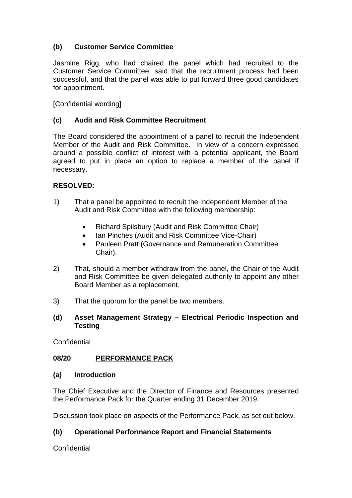# **(b) Customer Service Committee**

Jasmine Rigg, who had chaired the panel which had recruited to the Customer Service Committee, said that the recruitment process had been successful, and that the panel was able to put forward three good candidates for appointment.

[Confidential wording]

# **(c) Audit and Risk Committee Recruitment**

The Board considered the appointment of a panel to recruit the Independent Member of the Audit and Risk Committee. In view of a concern expressed around a possible conflict of interest with a potential applicant, the Board agreed to put in place an option to replace a member of the panel if necessary.

## **RESOLVED:**

- 1) That a panel be appointed to recruit the Independent Member of the Audit and Risk Committee with the following membership:
	- Richard Spilsbury (Audit and Risk Committee Chair)
	- Ian Pinches (Audit and Risk Committee Vice-Chair)
	- Pauleen Pratt (Governance and Remuneration Committee Chair).
- 2) That, should a member withdraw from the panel, the Chair of the Audit and Risk Committee be given delegated authority to appoint any other Board Member as a replacement.
- 3) That the quorum for the panel be two members.

## **(d) Asset Management Strategy – Electrical Periodic Inspection and Testing**

**Confidential** 

# **08/20 PERFORMANCE PACK**

## **(a) Introduction**

The Chief Executive and the Director of Finance and Resources presented the Performance Pack for the Quarter ending 31 December 2019.

Discussion took place on aspects of the Performance Pack, as set out below.

# **(b) Operational Performance Report and Financial Statements**

**Confidential**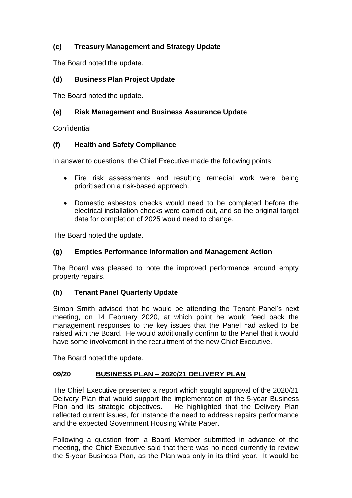# **(c) Treasury Management and Strategy Update**

The Board noted the update.

# **(d) Business Plan Project Update**

The Board noted the update.

# **(e) Risk Management and Business Assurance Update**

**Confidential** 

## **(f) Health and Safety Compliance**

In answer to questions, the Chief Executive made the following points:

- Fire risk assessments and resulting remedial work were being prioritised on a risk-based approach.
- Domestic asbestos checks would need to be completed before the electrical installation checks were carried out, and so the original target date for completion of 2025 would need to change.

The Board noted the update.

# **(g) Empties Performance Information and Management Action**

The Board was pleased to note the improved performance around empty property repairs.

## **(h) Tenant Panel Quarterly Update**

Simon Smith advised that he would be attending the Tenant Panel's next meeting, on 14 February 2020, at which point he would feed back the management responses to the key issues that the Panel had asked to be raised with the Board. He would additionally confirm to the Panel that it would have some involvement in the recruitment of the new Chief Executive.

The Board noted the update.

## **09/20 BUSINESS PLAN – 2020/21 DELIVERY PLAN**

The Chief Executive presented a report which sought approval of the 2020/21 Delivery Plan that would support the implementation of the 5-year Business Plan and its strategic objectives. He highlighted that the Delivery Plan reflected current issues, for instance the need to address repairs performance and the expected Government Housing White Paper.

Following a question from a Board Member submitted in advance of the meeting, the Chief Executive said that there was no need currently to review the 5-year Business Plan, as the Plan was only in its third year. It would be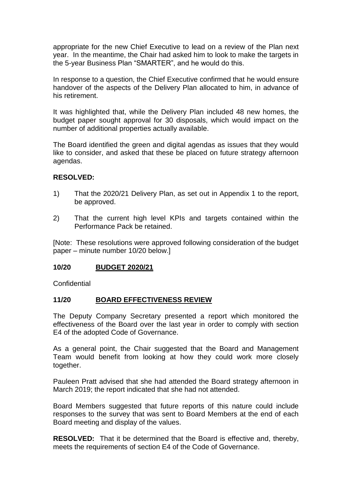appropriate for the new Chief Executive to lead on a review of the Plan next year. In the meantime, the Chair had asked him to look to make the targets in the 5-year Business Plan "SMARTER", and he would do this.

In response to a question, the Chief Executive confirmed that he would ensure handover of the aspects of the Delivery Plan allocated to him, in advance of his retirement.

It was highlighted that, while the Delivery Plan included 48 new homes, the budget paper sought approval for 30 disposals, which would impact on the number of additional properties actually available.

The Board identified the green and digital agendas as issues that they would like to consider, and asked that these be placed on future strategy afternoon agendas.

### **RESOLVED:**

- 1) That the 2020/21 Delivery Plan, as set out in Appendix 1 to the report, be approved.
- 2) That the current high level KPIs and targets contained within the Performance Pack be retained.

[Note: These resolutions were approved following consideration of the budget paper – minute number 10/20 below.]

#### **10/20 BUDGET 2020/21**

**Confidential** 

#### **11/20 BOARD EFFECTIVENESS REVIEW**

The Deputy Company Secretary presented a report which monitored the effectiveness of the Board over the last year in order to comply with section E4 of the adopted Code of Governance.

As a general point, the Chair suggested that the Board and Management Team would benefit from looking at how they could work more closely together.

Pauleen Pratt advised that she had attended the Board strategy afternoon in March 2019; the report indicated that she had not attended.

Board Members suggested that future reports of this nature could include responses to the survey that was sent to Board Members at the end of each Board meeting and display of the values.

**RESOLVED:** That it be determined that the Board is effective and, thereby, meets the requirements of section E4 of the Code of Governance.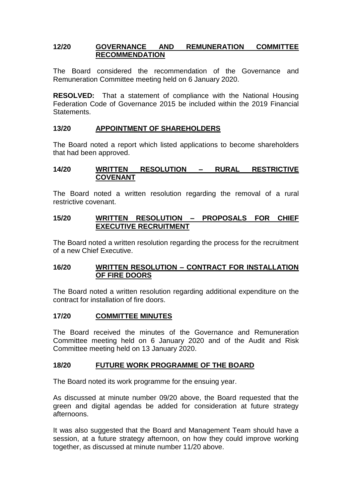## **12/20 GOVERNANCE AND REMUNERATION COMMITTEE RECOMMENDATION**

The Board considered the recommendation of the Governance and Remuneration Committee meeting held on 6 January 2020.

**RESOLVED:** That a statement of compliance with the National Housing Federation Code of Governance 2015 be included within the 2019 Financial **Statements** 

## **13/20 APPOINTMENT OF SHAREHOLDERS**

The Board noted a report which listed applications to become shareholders that had been approved.

## **14/20 WRITTEN RESOLUTION – RURAL RESTRICTIVE COVENANT**

The Board noted a written resolution regarding the removal of a rural restrictive covenant.

## **15/20 WRITTEN RESOLUTION – PROPOSALS FOR CHIEF EXECUTIVE RECRUITMENT**

The Board noted a written resolution regarding the process for the recruitment of a new Chief Executive.

## **16/20 WRITTEN RESOLUTION – CONTRACT FOR INSTALLATION OF FIRE DOORS**

The Board noted a written resolution regarding additional expenditure on the contract for installation of fire doors.

## **17/20 COMMITTEE MINUTES**

The Board received the minutes of the Governance and Remuneration Committee meeting held on 6 January 2020 and of the Audit and Risk Committee meeting held on 13 January 2020.

## **18/20 FUTURE WORK PROGRAMME OF THE BOARD**

The Board noted its work programme for the ensuing year.

As discussed at minute number 09/20 above, the Board requested that the green and digital agendas be added for consideration at future strategy afternoons.

It was also suggested that the Board and Management Team should have a session, at a future strategy afternoon, on how they could improve working together, as discussed at minute number 11/20 above.